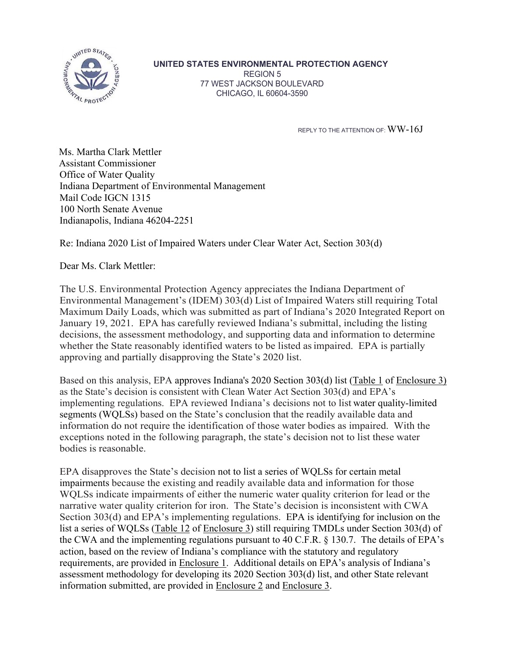

## **UNITED STATES ENVIRONMENTAL PROTECTION AGENCY**

REGION 5 77 WEST JACKSON BOULEVARD CHICAGO, IL 60604-3590

REPLY TO THE ATTENTION OF: WW-16J

Ms. Martha Clark Mettler Assistant Commissioner Office of Water Quality Indiana Department of Environmental Management Mail Code IGCN 1315 100 North Senate Avenue Indianapolis, Indiana 46204-2251

Re: Indiana 2020 List of Impaired Waters under Clear Water Act, Section 303(d)

Dear Ms. Clark Mettler:

The U.S. Environmental Protection Agency appreciates the Indiana Department of Environmental Management's (IDEM) 303(d) List of Impaired Waters still requiring Total Maximum Daily Loads, which was submitted as part of Indiana's 2020 Integrated Report on January 19, 2021. EPA has carefully reviewed Indiana's submittal, including the listing decisions, the assessment methodology, and supporting data and information to determine whether the State reasonably identified waters to be listed as impaired. EPA is partially approving and partially disapproving the State's 2020 list.

Based on this analysis, EPA approves Indiana's 2020 Section 303(d) list (Table 1 of Enclosure 3) as the State's decision is consistent with Clean Water Act Section 303(d) and EPA's implementing regulations. EPA reviewed Indiana's decisions not to list water quality-limited segments (WQLSs) based on the State's conclusion that the readily available data and information do not require the identification of those water bodies as impaired. With the exceptions noted in the following paragraph, the state's decision not to list these water bodies is reasonable.

EPA disapproves the State's decision not to list a series of WQLSs for certain metal impairments because the existing and readily available data and information for those WQLSs indicate impairments of either the numeric water quality criterion for lead or the narrative water quality criterion for iron. The State's decision is inconsistent with CWA Section 303(d) and EPA's implementing regulations. EPA is identifying for inclusion on the list a series of WQLSs (Table 12 of Enclosure 3) still requiring TMDLs under Section 303(d) of the CWA and the implementing regulations pursuant to 40 C.F.R. § 130.7. The details of EPA's action, based on the review of Indiana's compliance with the statutory and regulatory requirements, are provided in Enclosure 1. Additional details on EPA's analysis of Indiana's assessment methodology for developing its 2020 Section 303(d) list, and other State relevant information submitted, are provided in Enclosure 2 and Enclosure 3.